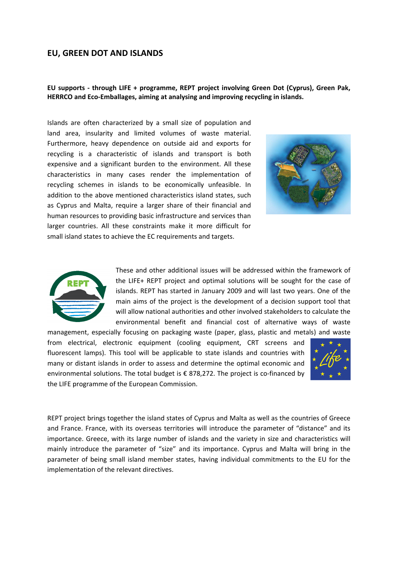# **EU, GREEN DOT AND ISLANDS**

## **EU supports ‐ through LIFE + programme, REPT project involving Green Dot (Cyprus), Green Pak, HERRCO and Eco‐Emballages, aiming at analysing and improving recycling in islands.**

Islands are often characterized by a small size of population and land area, insularity and limited volumes of waste material. Furthermore, heavy dependence on outside aid and exports for recycling is a characteristic of islands and transport is both expensive and a significant burden to the environment. All these characteristics in many cases render the implementation of recycling schemes in islands to be economically unfeasible. In addition to the above mentioned characteristics island states, such as Cyprus and Malta, require a larger share of their financial and human resources to providing basic infrastructure and services than larger countries. All these constraints make it more difficult for small island states to achieve the EC requirements and targets.





These and other additional issues will be addressed within the framework of the LIFE+ REPT project and optimal solutions will be sought for the case of islands. REPT has started in January 2009 and will last two years. One of the main aims of the project is the development of a decision support tool that will allow national authorities and other involved stakeholders to calculate the environmental benefit and financial cost of alternative ways of waste

management, especially focusing on packaging waste (paper, glass, plastic and metals) and waste from electrical, electronic equipment (cooling equipment, CRT screens and fluorescent lamps). This tool will be applicable to state islands and countries with many or distant islands in order to assess and determine the optimal economic and environmental solutions. The total budget is  $\epsilon$  878,272. The project is co-financed by the LIFE programme of the European Commission.



REPT project brings together the island states of Cyprus and Malta as well as the countries of Greece and France. France, with its overseas territories will introduce the parameter of "distance" and its importance. Greece, with its large number of islands and the variety in size and characteristics will mainly introduce the parameter of "size" and its importance. Cyprus and Malta will bring in the parameter of being small island member states, having individual commitments to the EU for the implementation of the relevant directives.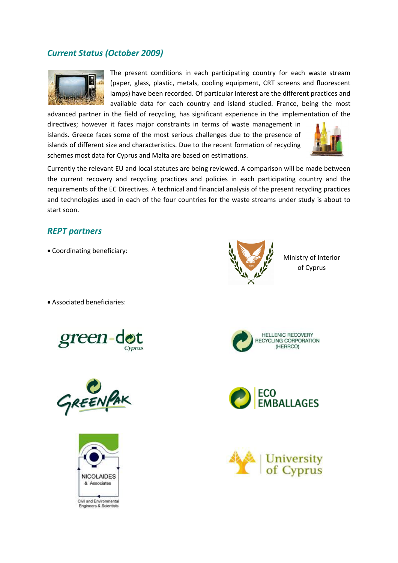# *Current Status (October 2009)*



The present conditions in each participating country for each waste stream (paper, glass, plastic, metals, cooling equipment, CRT screens and fluorescent lamps) have been recorded. Of particular interest are the different practices and available data for each country and island studied. France, being the most

advanced partner in the field of recycling, has significant experience in the implementation of the directives; however it faces major constraints in terms of waste management in islands. Greece faces some of the most serious challenges due to the presence of islands of different size and characteristics. Due to the recent formation of recycling schemes most data for Cyprus and Malta are based on estimations.



Currently the relevant EU and local statutes are being reviewed. A comparison will be made between the current recovery and recycling practices and policies in each participating country and the requirements of the EC Directives. A technical and financial analysis of the present recycling practices and technologies used in each of the four countries for the waste streams under study is about to start soon.

# *REPT partners*

• Coordinating beneficiary:

• Associated beneficiaries:









Ministry of Interior of Cyprus